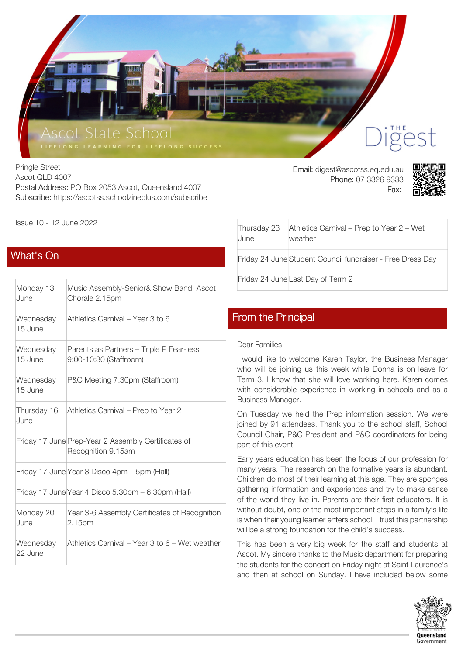

Pringle Street Ascot QLD 4007 Postal Address: PO Box 2053 Ascot, Queensland 4007 Subscribe: https://ascotss.schoolzineplus.com/subscribe

Email: digest@ascotss.eq.edu.au Phone: 07 3326 9333 Fax:



Issue 10 - 12 June 2022

# [What's On](https://ascotss.schoolzineplus.com/newsletter/article/1661?skin=1)

| Monday 13<br>June    | Music Assembly-Senior& Show Band, Ascot<br>Chorale 2.15pm                 |
|----------------------|---------------------------------------------------------------------------|
| Wednesday<br>15 June | Athletics Carnival – Year 3 to 6                                          |
| Wednesday<br>15 June | Parents as Partners – Triple P Fear-less<br>9:00-10:30 (Staffroom)        |
| Wednesday<br>15 June | P&C Meeting 7.30pm (Staffroom)                                            |
| Thursday 16<br>June  | Athletics Carnival - Prep to Year 2                                       |
|                      | Friday 17 June Prep-Year 2 Assembly Certificates of<br>Recognition 9.15am |
|                      | Friday 17 June Year 3 Disco 4pm - 5pm (Hall)                              |
|                      | Friday 17 June Year 4 Disco 5.30pm - 6.30pm (Hall)                        |
| Monday 20<br>June    | Year 3-6 Assembly Certificates of Recognition<br>2.15pm                   |
| Wednesday<br>22 June | Athletics Carnival – Year 3 to 6 – Wet weather                            |

| Thursday 23<br>June | Athletics Carnival – Prep to Year 2 – Wet<br>weather       |
|---------------------|------------------------------------------------------------|
|                     | Friday 24 June Student Council fundraiser - Free Dress Day |
|                     | Friday 24 June Last Day of Term 2                          |
|                     |                                                            |

# [From the Principal](https://ascotss.schoolzineplus.com/newsletter/article/1662?skin=1)

#### Dear Families

I would like to welcome Karen Taylor, the Business Manager who will be joining us this week while Donna is on leave for Term 3. I know that she will love working here. Karen comes with considerable experience in working in schools and as a Business Manager.

On Tuesday we held the Prep information session. We were joined by 91 attendees. Thank you to the school staff, School Council Chair, P&C President and P&C coordinators for being part of this event.

Early years education has been the focus of our profession for many years. The research on the formative years is abundant. Children do most of their learning at this age. They are sponges gathering information and experiences and try to make sense of the world they live in. Parents are their first educators. It is without doubt, one of the most important steps in a family's life is when their young learner enters school. I trust this partnership will be a strong foundation for the child's success.

This has been a very big week for the staff and students at Ascot. My sincere thanks to the Music department for preparing the students for the concert on Friday night at Saint Laurence's and then at school on Sunday. I have included below some

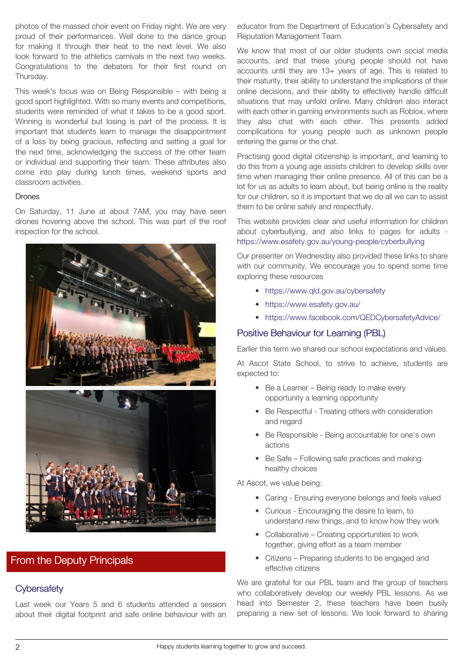photos of the massed choir event on Friday night. We are very proud of their performances. Well done to the dance group for making it through their heat to the next level. We also look forward to the athletics carnivals in the next two weeks. Congratulations to the debaters for their first round on Thursday.

This week's focus was on Being Responsible – with being a good sport highlighted. With so many events and competitions, students were reminded of what it takes to be a good sport. Winning is wonderful but losing is part of the process. It is important that students learn to manage the disappointment of a loss by being gracious, reflecting and setting a goal for the next time, acknowledging the success of the other team or individual and supporting their team. These attributes also come into play during lunch times, weekend sports and classroom activities.

#### Drones

On Saturday, 11 June at about 7AM, you may have seen drones hovering above the school. This was part of the roof inspection for the school.



# [From the Deputy Principals](https://ascotss.schoolzineplus.com/newsletter/article/1663?skin=1)

### **Cybersafety**

Last week our Years 5 and 6 students attended a session about their digital footprint and safe online behaviour with an educator from the Department of Education's Cybersafety and Reputation Management Team.

We know that most of our older students own social media accounts, and that these young people should not have accounts until they are 13+ years of age. This is related to their maturity, their ability to understand the implications of their online decisions, and their ability to effectively handle difficult situations that may unfold online. Many children also interact with each other in gaming environments such as Roblox, where they also chat with each other. This presents added complications for young people such as unknown people entering the game or the chat.

Practising good digital citizenship is important, and learning to do this from a young age assists children to develop skills over time when managing their online presence. All of this can be a lot for us as adults to learn about, but being online is the reality for our children, so it is important that we do all we can to assist them to be online safely and respectfully.

This website provides clear and useful information for children about cyberbullying, and also links to pages for adults <https://www.esafety.gov.au/young-people/cyberbullying>

Our presenter on Wednesday also provided these links to share with our community. We encourage you to spend some time exploring these resources

- [https://www.qld.gov.au/cybersafety](https://www.qld.gov.au/education/schools/health/cybersafety)
- <https://www.esafety.gov.au/>
- <https://www.facebook.com/QEDCybersafetyAdvice/>

### Positive Behaviour for Learning (PBL)

Earlier this term we shared our school expectations and values.

At Ascot State School, to strive to achieve, students are expected to:

- Be a Learner Being ready to make every opportunity a learning opportunity
- Be Respectful Treating others with consideration and regard
- Be Responsible Being accountable for one's own actions
- Be Safe Following safe practices and making healthy choices

At Ascot, we value being:

- Caring Ensuring everyone belongs and feels valued
- Curious Encouraging the desire to learn, to understand new things, and to know how they work
- Collaborative Creating opportunities to work together, giving effort as a team member
- Citizens Preparing students to be engaged and effective citizens

We are grateful for our PBL team and the group of teachers who collaboratively develop our weekly PBL lessons. As we head into Semester 2, these teachers have been busily preparing a new set of lessons. We look forward to sharing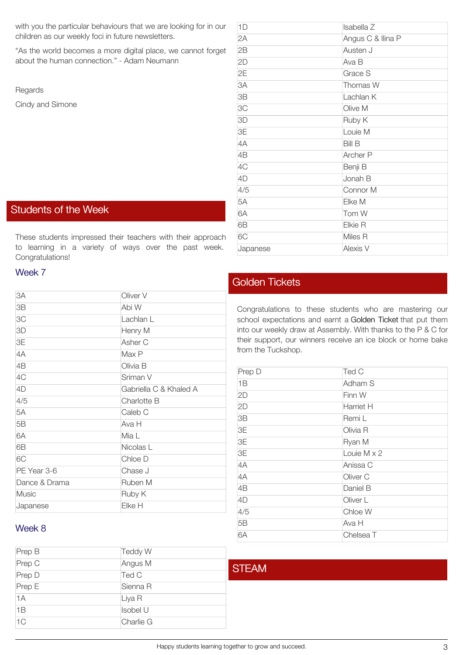with you the particular behaviours that we are looking for in our children as our weekly foci in future newsletters.

"As the world becomes a more digital place, we cannot forget about the human connection." - Adam Neumann

Regards

Cindy and Simone

### [Students of the Week](https://ascotss.schoolzineplus.com/newsletter/article/1664?skin=1)

These students impressed their teachers with their approach to learning in a variety of ways over the past week. Congratulations!

#### Week 7

| 3A            | Oliver V               |
|---------------|------------------------|
| 3B            | Abi W                  |
| 3C            | Lachlan L              |
| 3D            | Henry M                |
| 3E            | Asher C                |
| 4A            | Max P                  |
| 4B            | Olivia B               |
| 4C            | Sriman V               |
| 4D            | Gabriella C & Khaled A |
| 4/5           | Charlotte B            |
| 5A            | Caleb C                |
| 5B            | Ava H                  |
| 6A            | Mia L                  |
| 6B            | Nicolas L              |
| 6C            | Chloe D                |
| PE Year 3-6   | Chase J                |
| Dance & Drama | Ruben M                |
| <b>Music</b>  | Ruby K                 |
| Japanese      | Elke H                 |

## 1D Isabella Z 2A Angus C & Ilina P 2B Austen J 2D Ava B 2E Grace S 3A Thomas W 3B Lachlan K 3C Olive M 3D Ruby K 3E Louie M 4A Bill B 4B Archer P 4C Benji B 4D Jonah B 4/5 Connor M 5A Elke M 6A Tom W 6B Elkie R 6C Miles R Japanese Alexis V

# [Golden Tickets](https://ascotss.schoolzineplus.com/newsletter/article/1665?skin=1)

Congratulations to these students who are mastering our school expectations and earnt a Golden Ticket that put them into our weekly draw at Assembly. With thanks to the P & C for their support, our winners receive an ice block or home bake from the Tuckshop.

| Prep D | Ted C              |
|--------|--------------------|
| 1B     | Adham S            |
| 2D     | Finn W             |
| 2D     | Harriet H          |
| 3B     | Remi L             |
| 3E     | Olivia R           |
| 3E     | Ryan M             |
| 3E     | Louie $M \times 2$ |
| 4A     | Anissa C           |
| 4A     | Oliver C           |
| 4B     | Daniel B           |
| 4D     | Oliver L           |
| 4/5    | Chloe W            |
| 5B     | Ava H              |
| 6A     | Chelsea T          |

# Week 8

| Prep B | <b>Teddy W</b> |              |
|--------|----------------|--------------|
| Prep C | Angus M        | <b>STEAM</b> |
| Prep D | Ted C          |              |
| Prep E | Sienna R       |              |
| 1A     | Liya R         |              |
| 1B     | Isobel U       |              |
| 1C     | Charlie G      |              |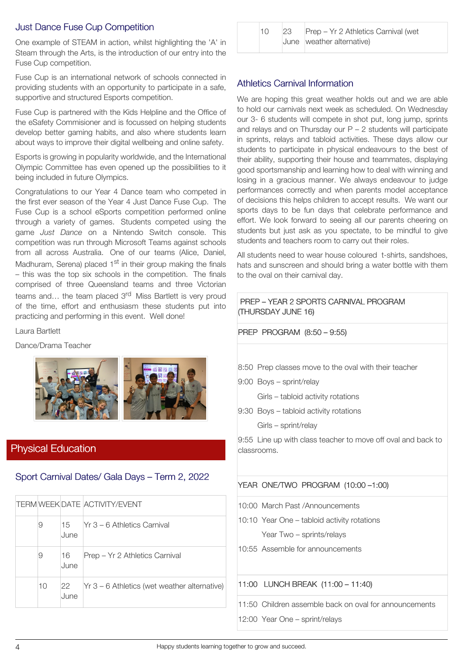## Just Dance Fuse Cup Competition

One example of STEAM in action, whilst highlighting the 'A' in Steam through the Arts, is the introduction of our entry into the Fuse Cup competition.

Fuse Cup is an international network of schools connected in providing students with an opportunity to participate in a safe, supportive and structured Esports competition.

Fuse Cup is partnered with the Kids Helpline and the Office of the eSafety Commisioner and is focussed on helping students develop better gaming habits, and also where students learn about ways to improve their digital wellbeing and online safety.

Esports is growing in popularity worldwide, and the International Olympic Committee has even opened up the possibilities to it being included in future Olympics.

Congratulations to our Year 4 Dance team who competed in the first ever season of the Year 4 Just Dance Fuse Cup. The Fuse Cup is a school eSports competition performed online through a variety of games. Students competed using the game *Just Dance* on a Nintendo Switch console. This competition was run through Microsoft Teams against schools from all across Australia. One of our teams (Alice, Daniel, Madhuram, Serena) placed 1<sup>st</sup> in their group making the finals – this was the top six schools in the competition. The finals comprised of three Queensland teams and three Victorian teams and... the team placed 3<sup>rd</sup> Miss Bartlett is very proud of the time, effort and enthusiasm these students put into practicing and performing in this event. Well done!

Laura Bartlett

Dance/Drama Teacher



# [Physical Education](https://ascotss.schoolzineplus.com/newsletter/article/1668?skin=1)

## Sport Carnival Dates/ Gala Days – Term 2, 2022

|  |    |             | <b>TERM WEEK DATE ACTIVITY/EVENT</b>           |
|--|----|-------------|------------------------------------------------|
|  | 9  | 15<br>June  | TYr 3 – 6 Athletics Carnival                   |
|  | 9  | .16<br>June | Prep – Yr 2 Athletics Carnival                 |
|  | 10 | 22<br>June  | $Yr$ 3 – 6 Athletics (wet weather alternative) |

| 10 | 23 | Prep - Yr 2 Athletics Carnival (wet |
|----|----|-------------------------------------|
|    |    | June weather alternative)           |

#### Athletics Carnival Information

We are hoping this great weather holds out and we are able to hold our carnivals next week as scheduled. On Wednesday our 3- 6 students will compete in shot put, long jump, sprints and relays and on Thursday our  $P - 2$  students will participate in sprints, relays and tabloid activities. These days allow our students to participate in physical endeavours to the best of their ability, supporting their house and teammates, displaying good sportsmanship and learning how to deal with winning and losing in a gracious manner. We always endeavour to judge performances correctly and when parents model acceptance of decisions this helps children to accept results. We want our sports days to be fun days that celebrate performance and effort. We look forward to seeing all our parents cheering on students but just ask as you spectate, to be mindful to give students and teachers room to carry out their roles.

All students need to wear house coloured t-shirts, sandshoes, hats and sunscreen and should bring a water bottle with them to the oval on their carnival day.

PREP – YEAR 2 SPORTS CARNIVAL PROGRAM (THURSDAY JUNE 16)

#### PREP PROGRAM (8:50 – 9:55)

- 8:50 Prep classes move to the oval with their teacher
- 9:00 Boys sprint/relay
	- Girls tabloid activity rotations
- 9:30 Boys tabloid activity rotations

Girls – sprint/relay

9:55 Line up with class teacher to move off oval and back to classrooms.

#### YEAR ONE/TWO PROGRAM (10:00 –1:00)

10:00 March Past /Announcements

- 10:10 Year One tabloid activity rotations Year Two – sprints/relays
- 10:55 Assemble for announcements

11:00 LUNCH BREAK (11:00 – 11:40)

11:50 Children assemble back on oval for announcements

12:00 Year One – sprint/relays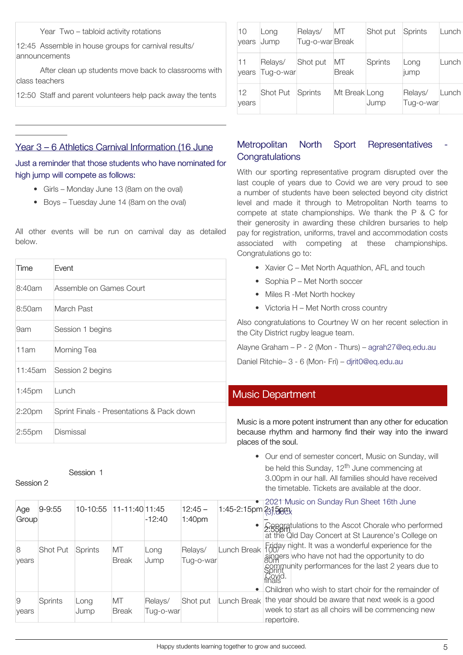Year Two – tabloid activity rotations

12:45 Assemble in house groups for carnival results/ announcements

After clean up students move back to classrooms with class teachers

12:50 Staff and parent volunteers help pack away the tents

## Year 3 – 6 Athletics Carnival Information (16 June

Just a reminder that those students who have nominated for high jump will compete as follows:

- Girls Monday June 13 (8am on the oval)
- Boys Tuesday June 14 (8am on the oval)

All other events will be run on carnival day as detailed below.

| 10<br>vears | Long<br>Jump         | Relays/<br>Tug-o-war Break | MT                 | Shot put       | Sprints              | Lunch |
|-------------|----------------------|----------------------------|--------------------|----------------|----------------------|-------|
| 11<br>vears | Relays/<br>Tug-o-war | Shot put                   | МT<br><b>Break</b> | <b>Sprints</b> | Long<br>jump         | Lunch |
| 12<br>years | <b>Shot Put</b>      | Sprints                    | Mt Break Long      | Jump           | Relays/<br>Tug-o-war | Lunch |

# Metropolitan North Sport Representatives **Congratulations**

With our sporting representative program disrupted over the last couple of years due to Covid we are very proud to see a number of students have been selected beyond city district level and made it through to Metropolitan North teams to compete at state championships. We thank the P & C for their generosity in awarding these children bursaries to help pay for registration, uniforms, travel and accommodation costs associated with competing at these championships. Congratulations go to:

- Xavier C Met North Aquathlon, AFL and touch
- Sophia P Met North soccer
- Miles R -Met North hockey
- Victoria H Met North cross country

Also congratulations to Courtney W on her recent selection in the City District rugby league team.

Alayne Graham – P - 2 (Mon - Thurs) – [agrah27@eq.edu.au](mailto:agrah27@eq.edu.au)

Daniel Ritchie– 3 - 6 (Mon- Fri) – [djrit0@eq.edu.au](mailto:djrit0@eq.edu.au)

### [Music Department](https://ascotss.schoolzineplus.com/newsletter/article/1669?skin=1)

Music is a more potent instrument than any other for education because rhythm and harmony find their way into the inward places of the soul.

• Our end of semester concert, Music on Sunday, will be held this Sunday, 12<sup>th</sup> June commencing at 3.00pm in our hall. All families should have received the timetable. Tickets are available at the door.

| Age<br>Group | $9 - 9:55$     | 10-10:55     | 11-11:40 11:45     | $-12:40$              | $12:45 -$<br>1:40 <sub>pm</sub> | $1:45-2:15$ pm $2:3500$ |                | • 2021 Music on Sunday Run Sheet 16th June<br>• Caparatulations to the Ascot Chorale who performed<br>at the Old Day Concert at St Laurence's College on         |
|--------------|----------------|--------------|--------------------|-----------------------|---------------------------------|-------------------------|----------------|------------------------------------------------------------------------------------------------------------------------------------------------------------------|
| 8<br>vears   | Shot Put       | Sprints      | МT<br><b>Break</b> | Long<br>Jump          | Relays/<br>Tug-o-war            | Lunch Break             | 'ovid<br>inals | Friday night. It was a wonderful experience for the<br>singers who have not had the opportunity to do<br>sommunity performances for the last 2 years due to      |
| 9<br>vears   | <b>Sprints</b> | Long<br>Jump | МT<br><b>Break</b> | Relays/<br>Tua-o-warl | Shot put                        | Lunch Break             | repertoire.    | Children who wish to start choir for the remainder of<br>the year should be aware that next week is a good<br>week to start as all choirs will be commencing new |

# Session 1

2:20pm Sprint Finals - Presentations & Pack down

### Session 2

Time Event

8:50am March Past

11am Morning Tea

1:45pm Lunch

2:55pm Dismissal

9am Session 1 begins

11:45am Session 2 begins

8:40am Assemble on Games Court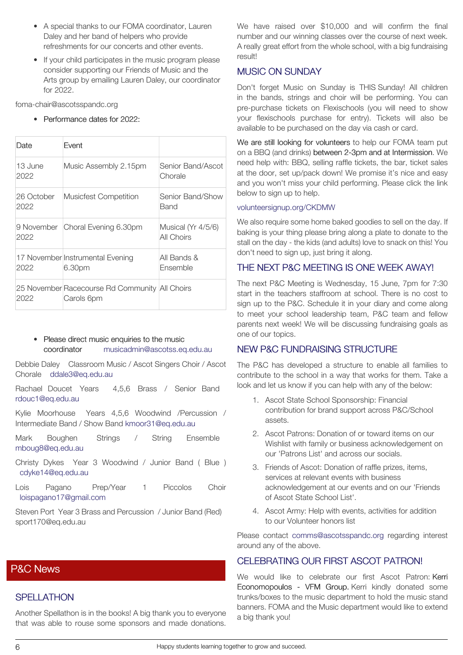- A special thanks to our FOMA coordinator, Lauren Daley and her band of helpers who provide refreshments for our concerts and other events.
- If your child participates in the music program please consider supporting our Friends of Music and the Arts group by emailing Lauren Daley, our coordinator for 2022.

foma-chair@ascotsspandc.org

• Performance dates for 2022:

| Date               | Fvent                                                        |                                  |
|--------------------|--------------------------------------------------------------|----------------------------------|
| 13 June<br>2022    | Music Assembly 2.15pm                                        | Senior Band/Ascot<br>Chorale     |
| 26 October<br>2022 | Musicfest Competition                                        | Senior Band/Show<br>Band         |
| 2022               | 9 November Choral Evening 6.30pm                             | Musical (Yr 4/5/6)<br>All Choirs |
| 2022               | 17 November Instrumental Evening<br>6.30pm                   | All Bands &<br>Fnsemble          |
| 2022               | 25 November Racecourse Rd Community All Choirs<br>Carols 6pm |                                  |

• Please direct music enquiries to the music coordinator [musicadmin@ascotss.eq.edu.au](mailto:musicadmin@ascotss.eq.edu.au)

Debbie Daley Classroom Music / Ascot Singers Choir / Ascot Chorale [ddale3@eq.edu.au](mailto:ddale3@eq.edu.au)

Rachael Doucet Years 4,5,6 Brass / Senior Band [rdouc1@eq.edu.au](mailto:rdouc1@eq.edu.au)

Kylie Moorhouse Years 4,5,6 Woodwind /Percussion / Intermediate Band / Show Band [kmoor31@eq.edu.au](mailto:kmoor31@eq.edu.au)

Mark Boughen Strings / String Ensemble [mboug8@eq.edu.au](mailto:mboug8@eq.edu.au)

- Christy Dykes Year 3 Woodwind / Junior Band ( Blue ) [cdyke14@eq.edu.au](mailto:cdyke14@eq.edu.au)
- Lois Pagano Prep/Year 1 Piccolos Choir [loispagano17@gmail.com](mailto:loispagano17@gmail.com)

Steven Port Year 3 Brass and Percussion / Junior Band (Red) sport170@eq.edu.au

## [P&C News](https://ascotss.schoolzineplus.com/newsletter/article/1674?skin=1)

#### **SPELLATHON**

Another Spellathon is in the books! A big thank you to everyone that was able to rouse some sponsors and made donations.

We have raised over \$10,000 and will confirm the final number and our winning classes over the course of next week. A really great effort from the whole school, with a big fundraising result!

#### MUSIC ON SUNDAY

Don't forget Music on Sunday is THIS Sunday! All children in the bands, strings and choir will be performing. You can pre-purchase tickets on Flexischools (you will need to show your flexischools purchase for entry). Tickets will also be available to be purchased on the day via cash or card.

We are still looking for volunteers to help our FOMA team put on a BBQ (and drinks) between 2-3pm and at Intermission. We need help with: BBQ, selling raffle tickets, the bar, ticket sales at the door, set up/pack down! We promise it's nice and easy and you won't miss your child performing. Please click the link below to sign up to help.

#### [volunteersignup.org/CKDMW](http://volunteersignup.org/CKDMW)

We also require some home baked goodies to sell on the day. If baking is your thing please bring along a plate to donate to the stall on the day - the kids (and adults) love to snack on this! You don't need to sign up, just bring it along.

### THE NEXT P&C MEETING IS ONE WEEK AWAY!

The next P&C Meeting is Wednesday, 15 June, 7pm for 7:30 start in the teachers staffroom at school. There is no cost to sign up to the P&C. Schedule it in your diary and come along to meet your school leadership team, P&C team and fellow parents next week! We will be discussing fundraising goals as one of our topics.

### NEW P&C FUNDRAISING STRUCTURE

The P&C has developed a structure to enable all families to contribute to the school in a way that works for them. Take a look and let us know if you can help with any of the below:

- 1. Ascot State School Sponsorship: Financial contribution for brand support across P&C/School assets.
- 2. Ascot Patrons: Donation of or toward items on our Wishlist with family or business acknowledgement on our 'Patrons List' and across our socials.
- 3. Friends of Ascot: Donation of raffle prizes, items, services at relevant events with business acknowledgement at our events and on our 'Friends of Ascot State School List'.
- 4. Ascot Army: Help with events, activities for addition to our Volunteer honors list

Please contact [comms@ascotsspandc.org](mailto:comms@ascotsspandc.org) regarding interest around any of the above.

#### CELEBRATING OUR FIRST ASCOT PATRON!

We would like to celebrate our first Ascot Patron: Kerri Economopoulos - VFM Group. Kerri kindly donated some trunks/boxes to the music department to hold the music stand banners. FOMA and the Music department would like to extend a big thank you!